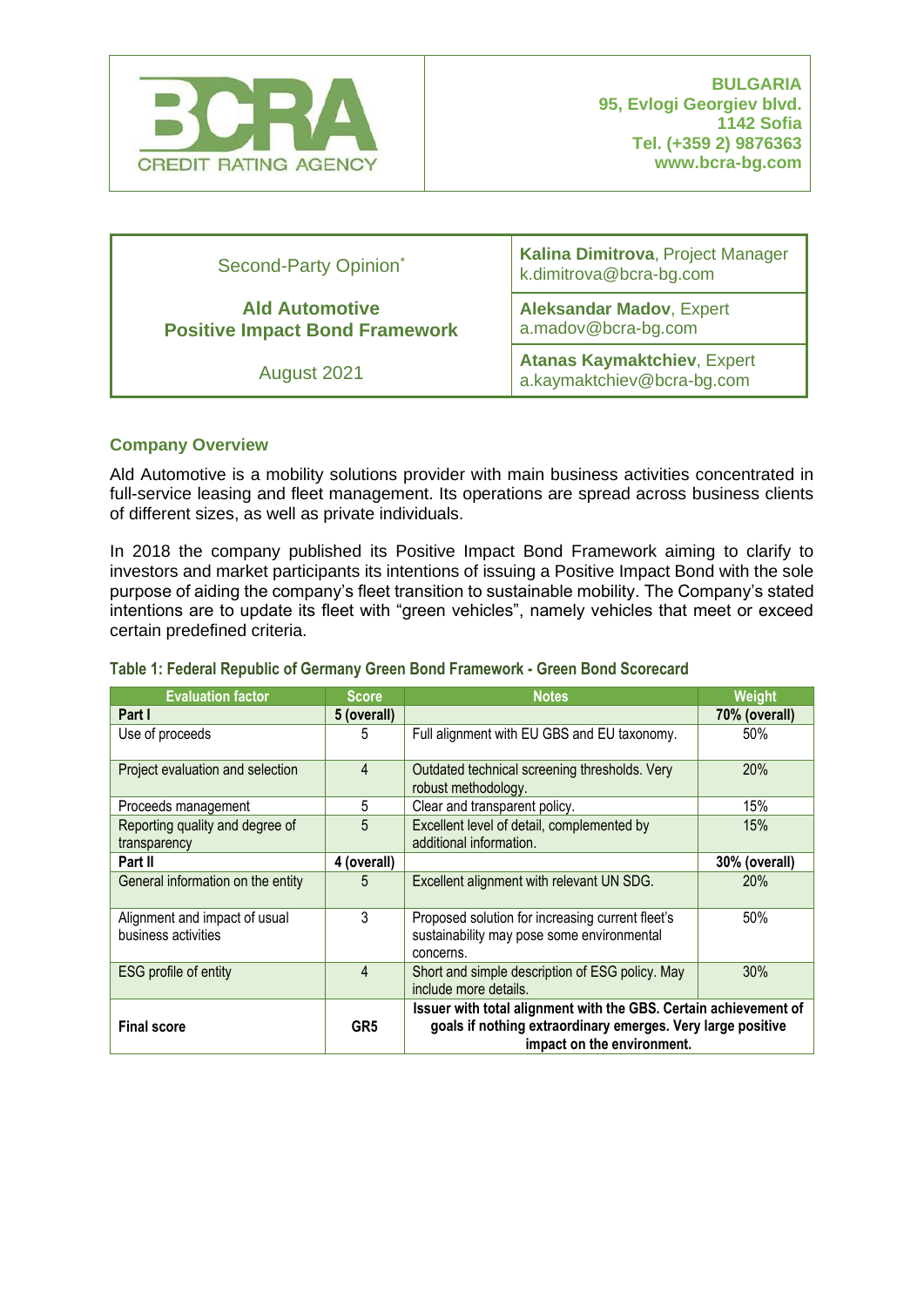

| Second-Party Opinion <sup>*</sup>                              | Kalina Dimitrova, Project Manager<br>k.dimitrova@bcra-bg.com     |  |
|----------------------------------------------------------------|------------------------------------------------------------------|--|
| <b>Ald Automotive</b><br><b>Positive Impact Bond Framework</b> | <b>Aleksandar Madov, Expert</b><br>a.madov@bcra-bg.com           |  |
| August 2021                                                    | <b>Atanas Kaymaktchiev, Expert</b><br>a.kaymaktchiev@bcra-bg.com |  |

# **Company Overview**

Ald Automotive is a mobility solutions provider with main business activities concentrated in full-service leasing and fleet management. Its operations are spread across business clients of different sizes, as well as private individuals.

In 2018 the company published its Positive Impact Bond Framework aiming to clarify to investors and market participants its intentions of issuing a Positive Impact Bond with the sole purpose of aiding the company's fleet transition to sustainable mobility. The Company's stated intentions are to update its fleet with "green vehicles", namely vehicles that meet or exceed certain predefined criteria.

#### **Table 1: Federal Republic of Germany Green Bond Framework - Green Bond Scorecard**

| <b>Evaluation factor</b>                             | Score           | Notes                                                                                                                                                         | <b>Weight</b> |
|------------------------------------------------------|-----------------|---------------------------------------------------------------------------------------------------------------------------------------------------------------|---------------|
| Part I                                               | 5 (overall)     |                                                                                                                                                               | 70% (overall) |
| Use of proceeds                                      | 5               | Full alignment with EU GBS and EU taxonomy.                                                                                                                   | 50%           |
| Project evaluation and selection                     | 4               | Outdated technical screening thresholds. Very<br>robust methodology.                                                                                          | 20%           |
| Proceeds management                                  | 5               | Clear and transparent policy.                                                                                                                                 | 15%           |
| Reporting quality and degree of<br>transparency      | 5               | Excellent level of detail, complemented by<br>additional information.                                                                                         | 15%           |
| Part II                                              | 4 (overall)     |                                                                                                                                                               | 30% (overall) |
| General information on the entity                    | 5               | Excellent alignment with relevant UN SDG.                                                                                                                     | 20%           |
| Alignment and impact of usual<br>business activities | 3               | Proposed solution for increasing current fleet's<br>sustainability may pose some environmental<br>concerns.                                                   | 50%           |
| ESG profile of entity                                | 4               | Short and simple description of ESG policy. May<br>include more details.                                                                                      | 30%           |
| <b>Final score</b>                                   | GR <sub>5</sub> | Issuer with total alignment with the GBS. Certain achievement of<br>goals if nothing extraordinary emerges. Very large positive<br>impact on the environment. |               |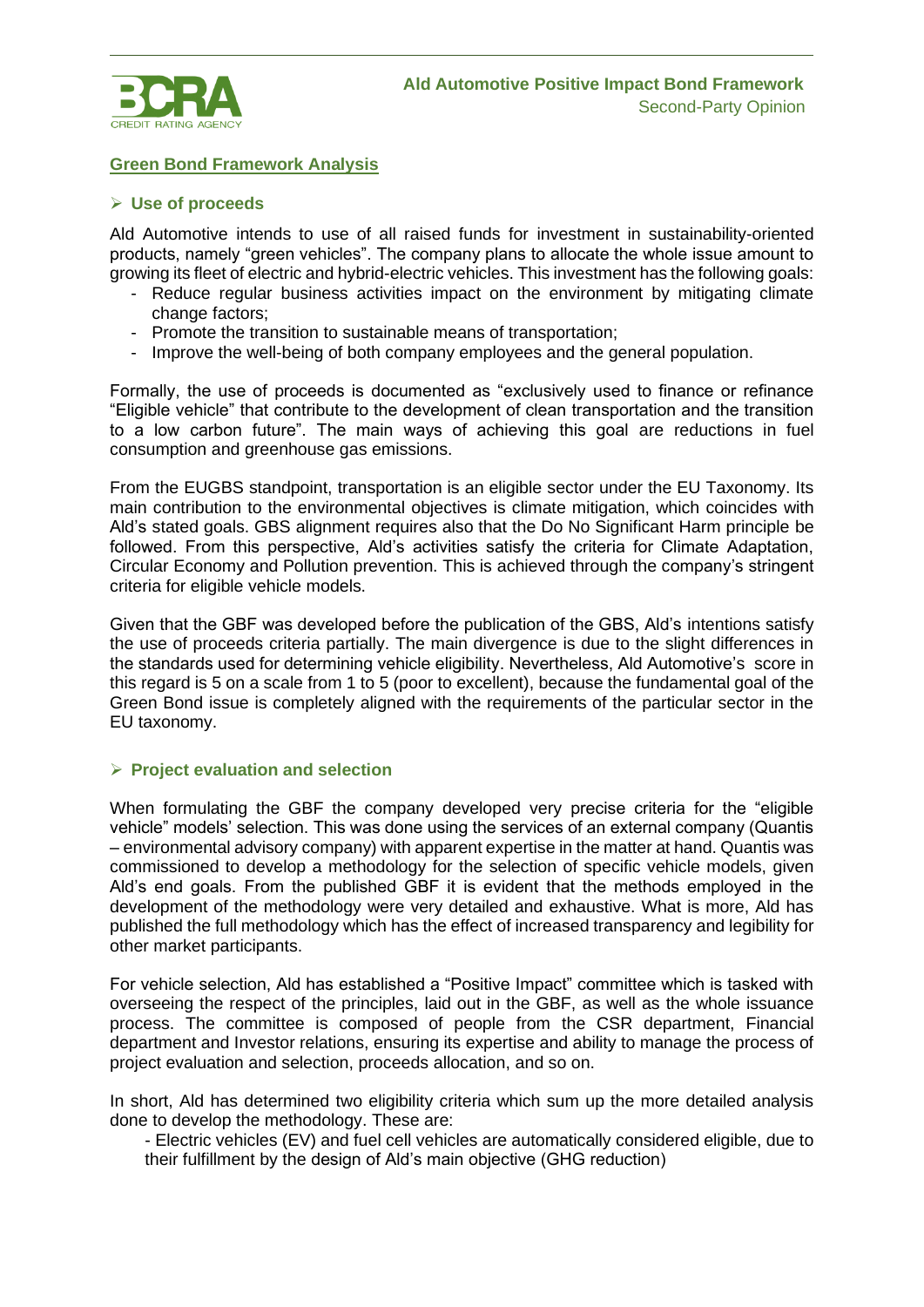

### **Green Bond Framework Analysis**

#### ➢ **Use of proceeds**

Ald Automotive intends to use of all raised funds for investment in sustainability-oriented products, namely "green vehicles". The company plans to allocate the whole issue amount to growing its fleet of electric and hybrid-electric vehicles. This investment has the following goals:

- Reduce regular business activities impact on the environment by mitigating climate change factors;
- Promote the transition to sustainable means of transportation;
- Improve the well-being of both company employees and the general population.

Formally, the use of proceeds is documented as "exclusively used to finance or refinance "Eligible vehicle" that contribute to the development of clean transportation and the transition to a low carbon future". The main ways of achieving this goal are reductions in fuel consumption and greenhouse gas emissions.

From the EUGBS standpoint, transportation is an eligible sector under the EU Taxonomy. Its main contribution to the environmental objectives is climate mitigation, which coincides with Ald's stated goals. GBS alignment requires also that the Do No Significant Harm principle be followed. From this perspective, Ald's activities satisfy the criteria for Climate Adaptation, Circular Economy and Pollution prevention. This is achieved through the company's stringent criteria for eligible vehicle models.

Given that the GBF was developed before the publication of the GBS, Ald's intentions satisfy the use of proceeds criteria partially. The main divergence is due to the slight differences in the standards used for determining vehicle eligibility. Nevertheless, Ald Automotive's score in this regard is 5 on a scale from 1 to 5 (poor to excellent), because the fundamental goal of the Green Bond issue is completely aligned with the requirements of the particular sector in the EU taxonomy.

#### ➢ **Project evaluation and selection**

When formulating the GBF the company developed very precise criteria for the "eligible vehicle" models' selection. This was done using the services of an external company (Quantis – environmental advisory company) with apparent expertise in the matter at hand. Quantis was commissioned to develop a methodology for the selection of specific vehicle models, given Ald's end goals. From the published GBF it is evident that the methods employed in the development of the methodology were very detailed and exhaustive. What is more, Ald has published the full methodology which has the effect of increased transparency and legibility for other market participants.

For vehicle selection, Ald has established a "Positive Impact" committee which is tasked with overseeing the respect of the principles, laid out in the GBF, as well as the whole issuance process. The committee is composed of people from the CSR department, Financial department and Investor relations, ensuring its expertise and ability to manage the process of project evaluation and selection, proceeds allocation, and so on.

In short, Ald has determined two eligibility criteria which sum up the more detailed analysis done to develop the methodology. These are:

- Electric vehicles (EV) and fuel cell vehicles are automatically considered eligible, due to their fulfillment by the design of Ald's main objective (GHG reduction)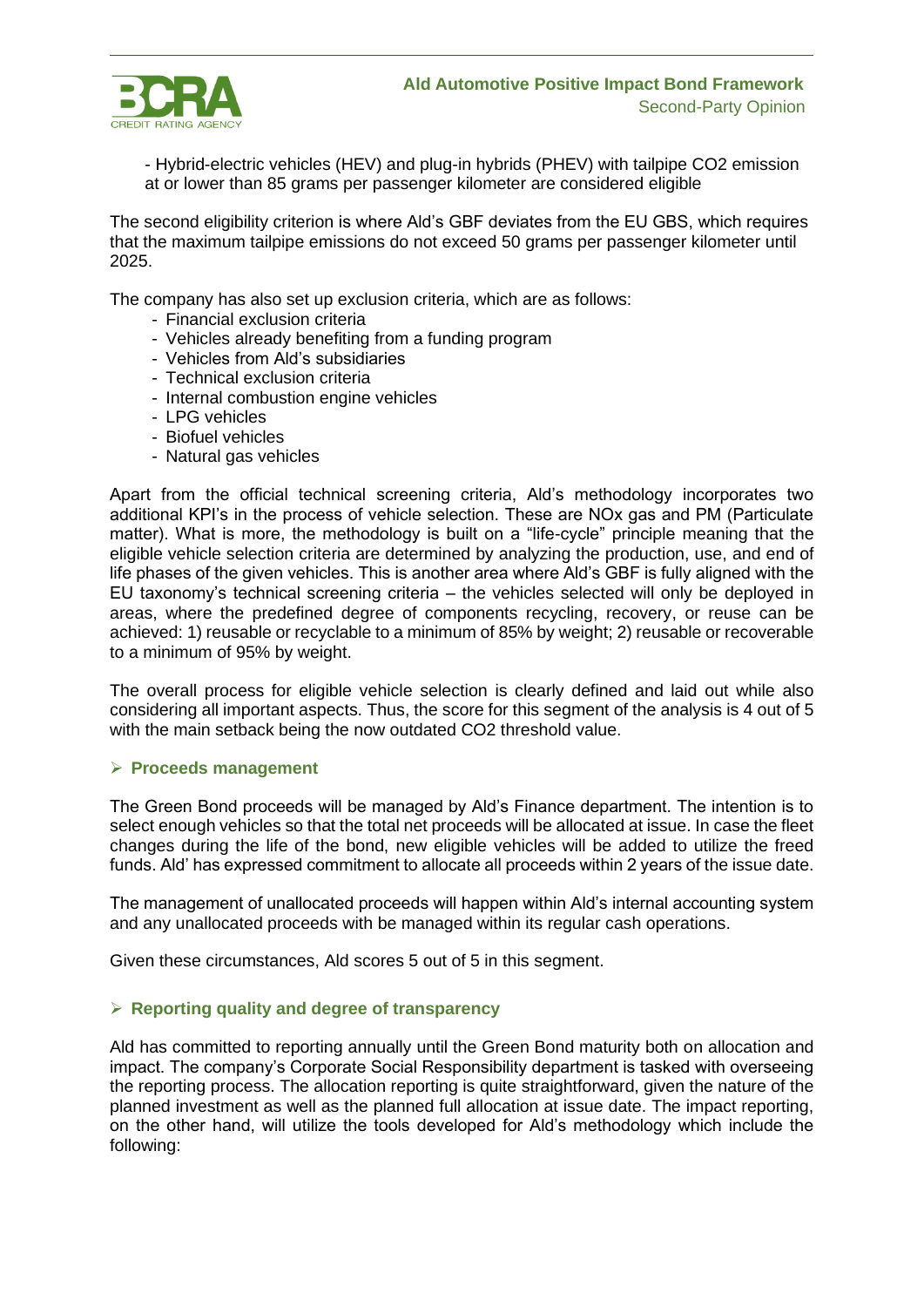

- Hybrid-electric vehicles (HEV) and plug-in hybrids (PHEV) with tailpipe CO2 emission at or lower than 85 grams per passenger kilometer are considered eligible

The second eligibility criterion is where Ald's GBF deviates from the EU GBS, which requires that the maximum tailpipe emissions do not exceed 50 grams per passenger kilometer until 2025.

The company has also set up exclusion criteria, which are as follows:

- Financial exclusion criteria
- Vehicles already benefiting from a funding program
- Vehicles from Ald's subsidiaries
- Technical exclusion criteria
- Internal combustion engine vehicles
- LPG vehicles
- Biofuel vehicles
- Natural gas vehicles

Apart from the official technical screening criteria, Ald's methodology incorporates two additional KPI's in the process of vehicle selection. These are NOx gas and PM (Particulate matter). What is more, the methodology is built on a "life-cycle" principle meaning that the eligible vehicle selection criteria are determined by analyzing the production, use, and end of life phases of the given vehicles. This is another area where Ald's GBF is fully aligned with the EU taxonomy's technical screening criteria – the vehicles selected will only be deployed in areas, where the predefined degree of components recycling, recovery, or reuse can be achieved: 1) reusable or recyclable to a minimum of 85% by weight; 2) reusable or recoverable to a minimum of 95% by weight.

The overall process for eligible vehicle selection is clearly defined and laid out while also considering all important aspects. Thus, the score for this segment of the analysis is 4 out of 5 with the main setback being the now outdated CO2 threshold value.

#### ➢ **Proceeds management**

The Green Bond proceeds will be managed by Ald's Finance department. The intention is to select enough vehicles so that the total net proceeds will be allocated at issue. In case the fleet changes during the life of the bond, new eligible vehicles will be added to utilize the freed funds. Ald' has expressed commitment to allocate all proceeds within 2 years of the issue date.

The management of unallocated proceeds will happen within Ald's internal accounting system and any unallocated proceeds with be managed within its regular cash operations.

Given these circumstances, Ald scores 5 out of 5 in this segment.

#### ➢ **Reporting quality and degree of transparency**

Ald has committed to reporting annually until the Green Bond maturity both on allocation and impact. The company's Corporate Social Responsibility department is tasked with overseeing the reporting process. The allocation reporting is quite straightforward, given the nature of the planned investment as well as the planned full allocation at issue date. The impact reporting, on the other hand, will utilize the tools developed for Ald's methodology which include the following: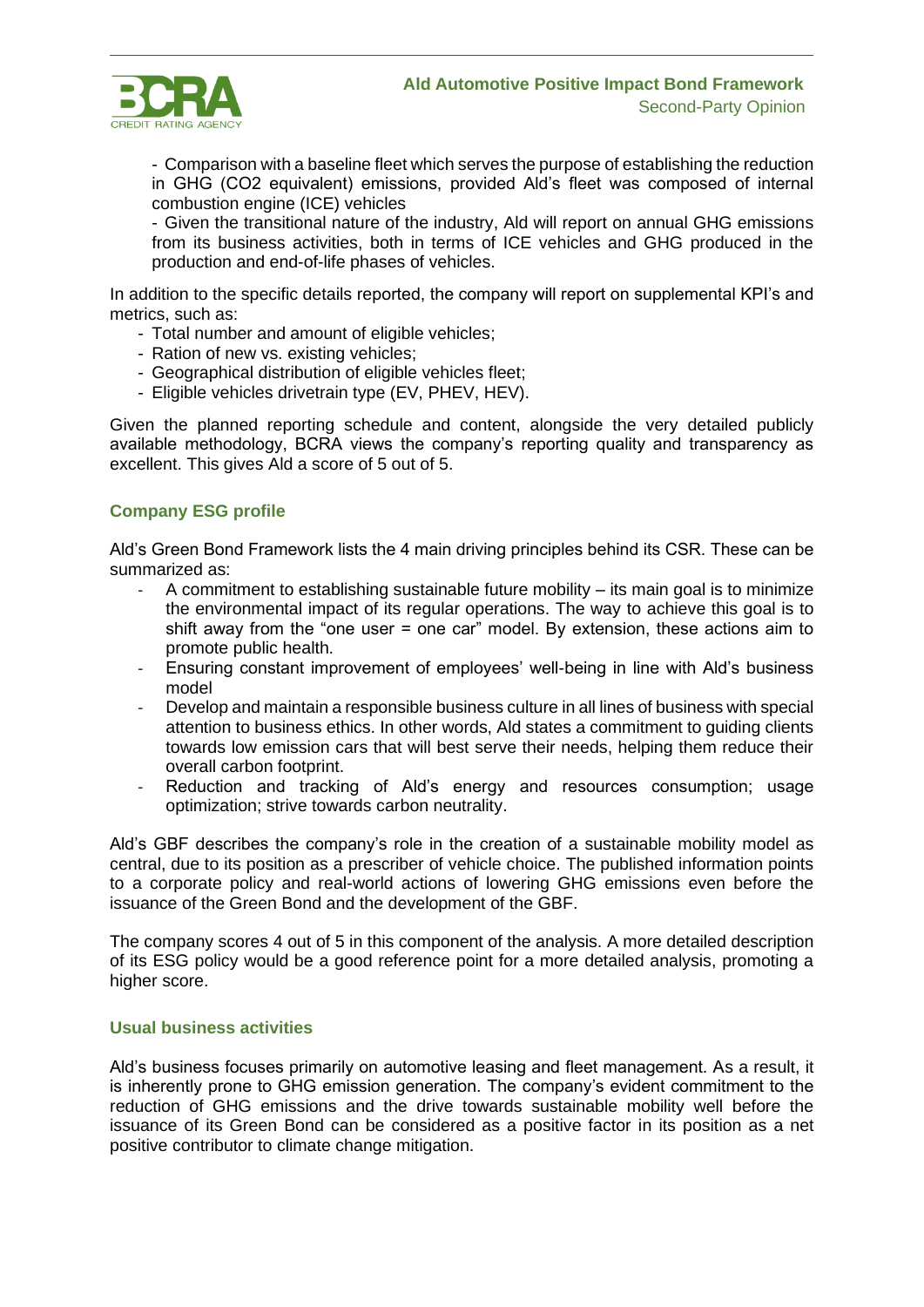

- Comparison with a baseline fleet which serves the purpose of establishing the reduction in GHG (CO2 equivalent) emissions, provided Ald's fleet was composed of internal combustion engine (ICE) vehicles

- Given the transitional nature of the industry, Ald will report on annual GHG emissions from its business activities, both in terms of ICE vehicles and GHG produced in the production and end-of-life phases of vehicles.

In addition to the specific details reported, the company will report on supplemental KPI's and metrics, such as:

- Total number and amount of eligible vehicles;
- Ration of new vs. existing vehicles;
- Geographical distribution of eligible vehicles fleet;
- Eligible vehicles drivetrain type (EV, PHEV, HEV).

Given the planned reporting schedule and content, alongside the very detailed publicly available methodology, BCRA views the company's reporting quality and transparency as excellent. This gives Ald a score of 5 out of 5.

# **Company ESG profile**

Ald's Green Bond Framework lists the 4 main driving principles behind its CSR. These can be summarized as:

- A commitment to establishing sustainable future mobility  $-$  its main goal is to minimize the environmental impact of its regular operations. The way to achieve this goal is to shift away from the "one user = one car" model. By extension, these actions aim to promote public health.
- Ensuring constant improvement of employees' well-being in line with Ald's business model
- Develop and maintain a responsible business culture in all lines of business with special attention to business ethics. In other words, Ald states a commitment to guiding clients towards low emission cars that will best serve their needs, helping them reduce their overall carbon footprint.
- Reduction and tracking of Ald's energy and resources consumption; usage optimization; strive towards carbon neutrality.

Ald's GBF describes the company's role in the creation of a sustainable mobility model as central, due to its position as a prescriber of vehicle choice. The published information points to a corporate policy and real-world actions of lowering GHG emissions even before the issuance of the Green Bond and the development of the GBF.

The company scores 4 out of 5 in this component of the analysis. A more detailed description of its ESG policy would be a good reference point for a more detailed analysis, promoting a higher score.

### **Usual business activities**

Ald's business focuses primarily on automotive leasing and fleet management. As a result, it is inherently prone to GHG emission generation. The company's evident commitment to the reduction of GHG emissions and the drive towards sustainable mobility well before the issuance of its Green Bond can be considered as a positive factor in its position as a net positive contributor to climate change mitigation.